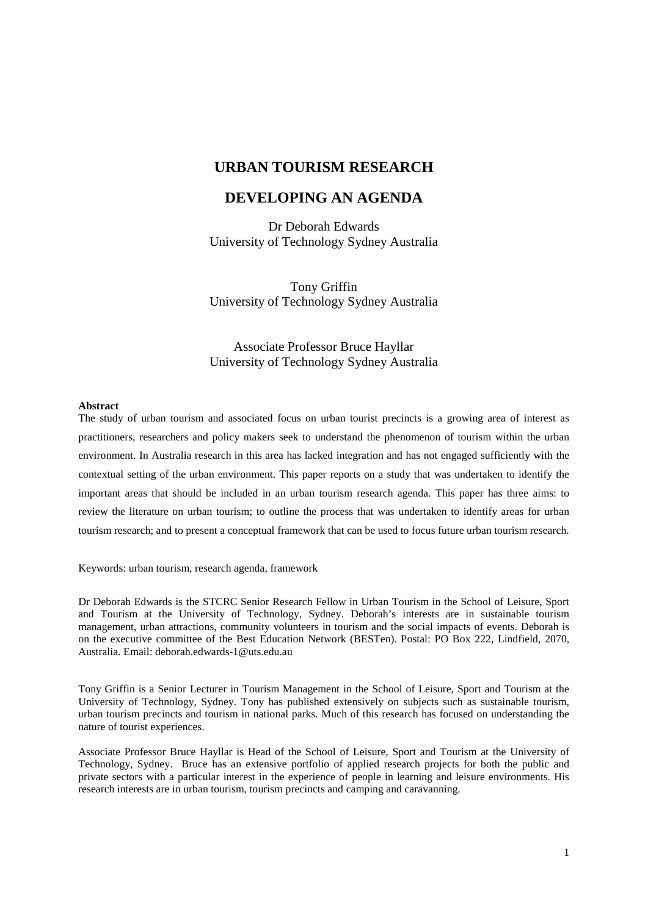# **URBAN TOURISM RESEARCH**

# **DEVELOPING AN AGENDA**

Dr Deborah Edwards University of Technology Sydney Australia

Tony Griffin University of Technology Sydney Australia

Associate Professor Bruce Hayllar University of Technology Sydney Australia

#### **Abstract**

The study of urban tourism and associated focus on urban tourist precincts is a growing area of interest as practitioners, researchers and policy makers seek to understand the phenomenon of tourism within the urban environment. In Australia research in this area has lacked integration and has not engaged sufficiently with the contextual setting of the urban environment. This paper reports on a study that was undertaken to identify the important areas that should be included in an urban tourism research agenda. This paper has three aims: to review the literature on urban tourism; to outline the process that was undertaken to identify areas for urban tourism research; and to present a conceptual framework that can be used to focus future urban tourism research.

Keywords: urban tourism, research agenda, framework

Dr Deborah Edwards is the STCRC Senior Research Fellow in Urban Tourism in the School of Leisure, Sport and Tourism at the University of Technology, Sydney. Deborah's interests are in sustainable tourism management, urban attractions, community volunteers in tourism and the social impacts of events. Deborah is on the executive committee of the Best Education Network (BESTen). Postal: PO Box 222, Lindfield, 2070, Australia. Email: [deborah.edwards-1@uts.edu.au](mailto:deborah.edwards-1@uts.edu.au)

Tony Griffin is a Senior Lecturer in Tourism Management in the School of Leisure, Sport and Tourism at the University of Technology, Sydney. Tony has published extensively on subjects such as sustainable tourism, urban tourism precincts and tourism in national parks. Much of this research has focused on understanding the nature of tourist experiences.

Associate Professor Bruce Hayllar is Head of the School of Leisure, Sport and Tourism at the University of Technology, Sydney. Bruce has an extensive portfolio of applied research projects for both the public and private sectors with a particular interest in the experience of people in learning and leisure environments. His research interests are in urban tourism, tourism precincts and camping and caravanning.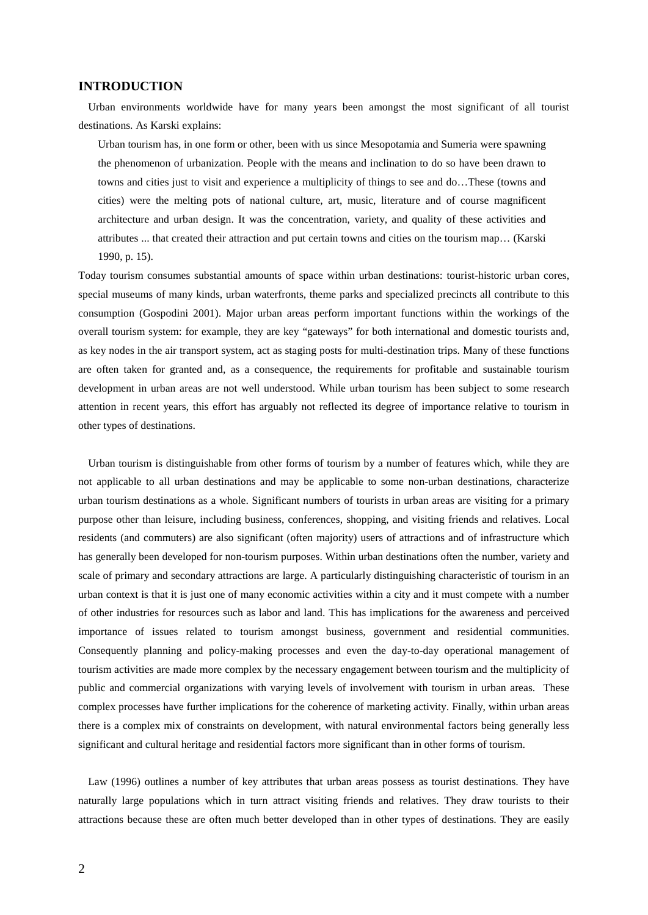# **INTRODUCTION**

Urban environments worldwide have for many years been amongst the most significant of all tourist destinations. As Karski explains:

Urban tourism has, in one form or other, been with us since Mesopotamia and Sumeria were spawning the phenomenon of urbanization. People with the means and inclination to do so have been drawn to towns and cities just to visit and experience a multiplicity of things to see and do…These (towns and cities) were the melting pots of national culture, art, music, literature and of course magnificent architecture and urban design. It was the concentration, variety, and quality of these activities and attributes ... that created their attraction and put certain towns and cities on the tourism map… (Karski 1990, p. 15).

Today tourism consumes substantial amounts of space within urban destinations: tourist-historic urban cores, special museums of many kinds, urban waterfronts, theme parks and specialized precincts all contribute to this consumption (Gospodini 2001). Major urban areas perform important functions within the workings of the overall tourism system: for example, they are key "gateways" for both international and domestic tourists and, as key nodes in the air transport system, act as staging posts for multi-destination trips. Many of these functions are often taken for granted and, as a consequence, the requirements for profitable and sustainable tourism development in urban areas are not well understood. While urban tourism has been subject to some research attention in recent years, this effort has arguably not reflected its degree of importance relative to tourism in other types of destinations.

Urban tourism is distinguishable from other forms of tourism by a number of features which, while they are not applicable to all urban destinations and may be applicable to some non-urban destinations, characterize urban tourism destinations as a whole. Significant numbers of tourists in urban areas are visiting for a primary purpose other than leisure, including business, conferences, shopping, and visiting friends and relatives. Local residents (and commuters) are also significant (often majority) users of attractions and of infrastructure which has generally been developed for non-tourism purposes. Within urban destinations often the number, variety and scale of primary and secondary attractions are large. A particularly distinguishing characteristic of tourism in an urban context is that it is just one of many economic activities within a city and it must compete with a number of other industries for resources such as labor and land. This has implications for the awareness and perceived importance of issues related to tourism amongst business, government and residential communities. Consequently planning and policy-making processes and even the day-to-day operational management of tourism activities are made more complex by the necessary engagement between tourism and the multiplicity of public and commercial organizations with varying levels of involvement with tourism in urban areas. These complex processes have further implications for the coherence of marketing activity. Finally, within urban areas there is a complex mix of constraints on development, with natural environmental factors being generally less significant and cultural heritage and residential factors more significant than in other forms of tourism.

Law (1996) outlines a number of key attributes that urban areas possess as tourist destinations. They have naturally large populations which in turn attract visiting friends and relatives. They draw tourists to their attractions because these are often much better developed than in other types of destinations. They are easily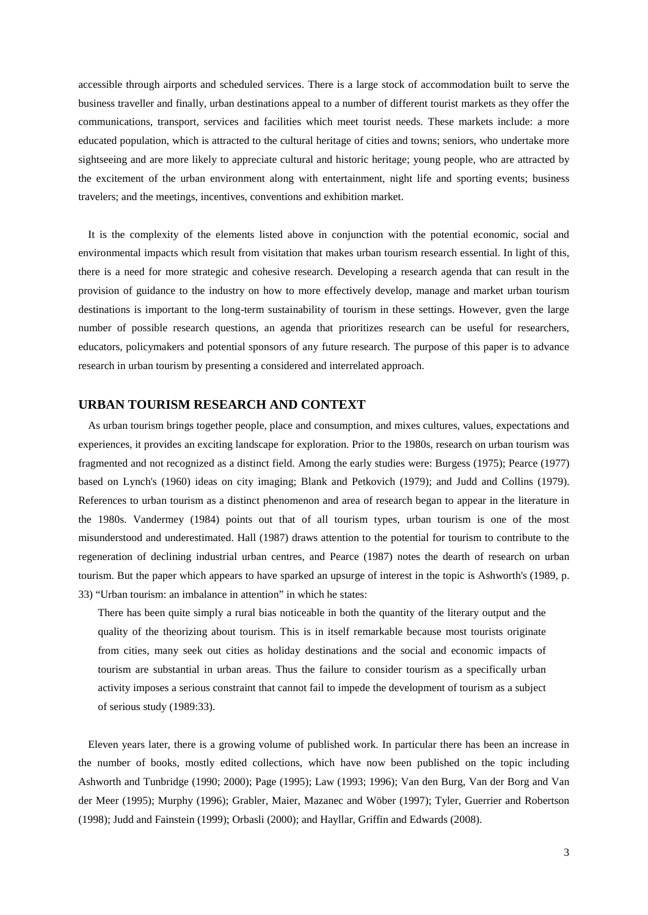accessible through airports and scheduled services. There is a large stock of accommodation built to serve the business traveller and finally, urban destinations appeal to a number of different tourist markets as they offer the communications, transport, services and facilities which meet tourist needs. These markets include: a more educated population, which is attracted to the cultural heritage of cities and towns; seniors, who undertake more sightseeing and are more likely to appreciate cultural and historic heritage; young people, who are attracted by the excitement of the urban environment along with entertainment, night life and sporting events; business travelers; and the meetings, incentives, conventions and exhibition market.

It is the complexity of the elements listed above in conjunction with the potential economic, social and environmental impacts which result from visitation that makes urban tourism research essential. In light of this, there is a need for more strategic and cohesive research. Developing a research agenda that can result in the provision of guidance to the industry on how to more effectively develop, manage and market urban tourism destinations is important to the long-term sustainability of tourism in these settings. However, gven the large number of possible research questions, an agenda that prioritizes research can be useful for researchers, educators, policymakers and potential sponsors of any future research. The purpose of this paper is to advance research in urban tourism by presenting a considered and interrelated approach.

# **URBAN TOURISM RESEARCH AND CONTEXT**

As urban tourism brings together people, place and consumption, and mixes cultures, values, expectations and experiences, it provides an exciting landscape for exploration. Prior to the 1980s, research on urban tourism was fragmented and not recognized as a distinct field. Among the early studies were: Burgess (1975); Pearce (1977) based on Lynch's (1960) ideas on city imaging; Blank and Petkovich (1979); and Judd and Collins (1979). References to urban tourism as a distinct phenomenon and area of research began to appear in the literature in the 1980s. Vandermey (1984) points out that of all tourism types, urban tourism is one of the most misunderstood and underestimated. Hall (1987) draws attention to the potential for tourism to contribute to the regeneration of declining industrial urban centres, and Pearce (1987) notes the dearth of research on urban tourism. But the paper which appears to have sparked an upsurge of interest in the topic is Ashworth's (1989, p. 33) "Urban tourism: an imbalance in attention" in which he states:

There has been quite simply a rural bias noticeable in both the quantity of the literary output and the quality of the theorizing about tourism. This is in itself remarkable because most tourists originate from cities, many seek out cities as holiday destinations and the social and economic impacts of tourism are substantial in urban areas. Thus the failure to consider tourism as a specifically urban activity imposes a serious constraint that cannot fail to impede the development of tourism as a subject of serious study (1989:33).

Eleven years later, there is a growing volume of published work. In particular there has been an increase in the number of books, mostly edited collections, which have now been published on the topic including Ashworth and Tunbridge (1990; 2000); Page (1995); Law (1993; 1996); Van den Burg, Van der Borg and Van der Meer (1995); Murphy (1996); Grabler, Maier, Mazanec and Wöber (1997); Tyler, Guerrier and Robertson (1998); Judd and Fainstein (1999); Orbasli (2000); and Hayllar, Griffin and Edwards (2008).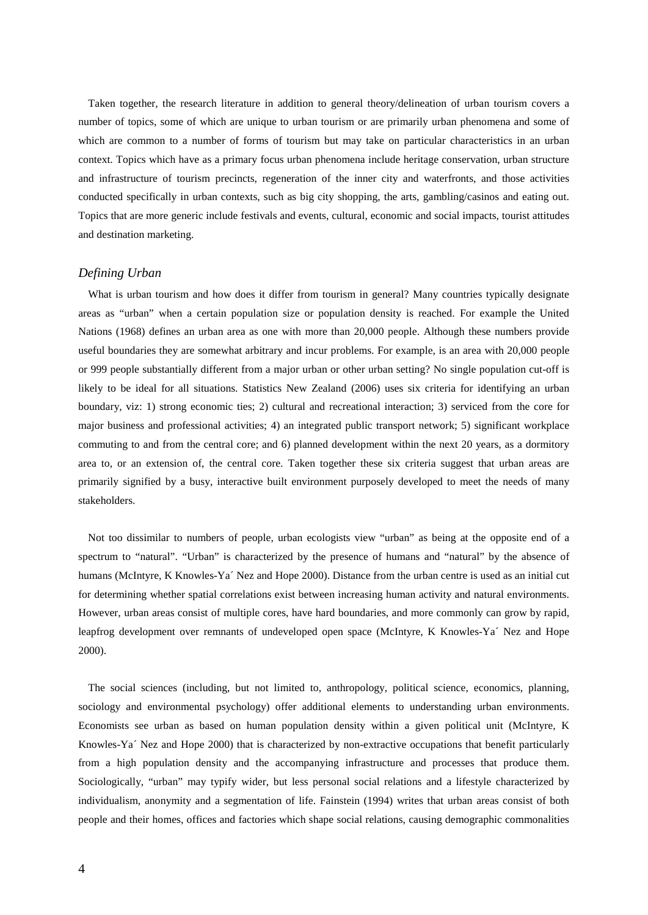Taken together, the research literature in addition to general theory/delineation of urban tourism covers a number of topics, some of which are unique to urban tourism or are primarily urban phenomena and some of which are common to a number of forms of tourism but may take on particular characteristics in an urban context. Topics which have as a primary focus urban phenomena include heritage conservation, urban structure and infrastructure of tourism precincts, regeneration of the inner city and waterfronts, and those activities conducted specifically in urban contexts, such as big city shopping, the arts, gambling/casinos and eating out. Topics that are more generic include festivals and events, cultural, economic and social impacts, tourist attitudes and destination marketing.

# *Defining Urban*

What is urban tourism and how does it differ from tourism in general? Many countries typically designate areas as "urban" when a certain population size or population density is reached. For example the United Nations (1968) defines an urban area as one with more than 20,000 people. Although these numbers provide useful boundaries they are somewhat arbitrary and incur problems. For example, is an area with 20,000 people or 999 people substantially different from a major urban or other urban setting? No single population cut-off is likely to be ideal for all situations. Statistics New Zealand (2006) uses six criteria for identifying an urban boundary, viz: 1) strong economic ties; 2) cultural and recreational interaction; 3) serviced from the core for major business and professional activities; 4) an integrated public transport network; 5) significant workplace commuting to and from the central core; and 6) planned development within the next 20 years, as a dormitory area to, or an extension of, the central core. Taken together these six criteria suggest that urban areas are primarily signified by a busy, interactive built environment purposely developed to meet the needs of many stakeholders.

Not too dissimilar to numbers of people, urban ecologists view "urban" as being at the opposite end of a spectrum to "natural". "Urban" is characterized by the presence of humans and "natural" by the absence of humans (McIntyre, K Knowles-Ya´ Nez and Hope 2000). Distance from the urban centre is used as an initial cut for determining whether spatial correlations exist between increasing human activity and natural environments. However, urban areas consist of multiple cores, have hard boundaries, and more commonly can grow by rapid, leapfrog development over remnants of undeveloped open space (McIntyre, K Knowles-Ya´ Nez and Hope 2000).

The social sciences (including, but not limited to, anthropology, political science, economics, planning, sociology and environmental psychology) offer additional elements to understanding urban environments. Economists see urban as based on human population density within a given political unit (McIntyre, K Knowles-Ya´ Nez and Hope 2000) that is characterized by non-extractive occupations that benefit particularly from a high population density and the accompanying infrastructure and processes that produce them. Sociologically, "urban" may typify wider, but less personal social relations and a lifestyle characterized by individualism, anonymity and a segmentation of life. Fainstein (1994) writes that urban areas consist of both people and their homes, offices and factories which shape social relations, causing demographic commonalities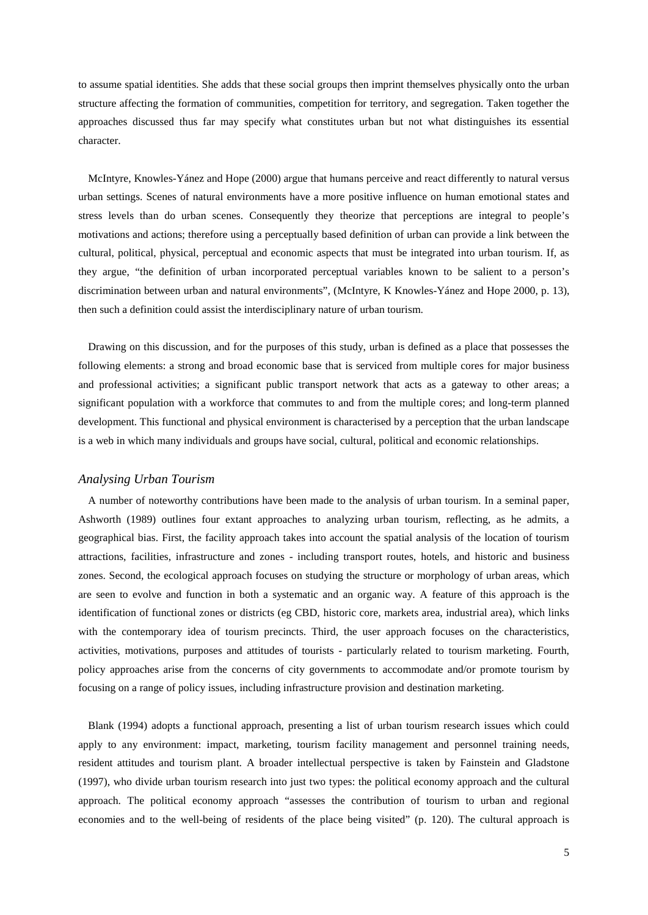to assume spatial identities. She adds that these social groups then imprint themselves physically onto the urban structure affecting the formation of communities, competition for territory, and segregation. Taken together the approaches discussed thus far may specify what constitutes urban but not what distinguishes its essential character.

McIntyre, Knowles-Yánez and Hope (2000) argue that humans perceive and react differently to natural versus urban settings. Scenes of natural environments have a more positive influence on human emotional states and stress levels than do urban scenes. Consequently they theorize that perceptions are integral to people's motivations and actions; therefore using a perceptually based definition of urban can provide a link between the cultural, political, physical, perceptual and economic aspects that must be integrated into urban tourism. If, as they argue, "the definition of urban incorporated perceptual variables known to be salient to a person's discrimination between urban and natural environments", (McIntyre, K Knowles-Yánez and Hope 2000, p. 13), then such a definition could assist the interdisciplinary nature of urban tourism.

Drawing on this discussion, and for the purposes of this study, urban is defined as a place that possesses the following elements: a strong and broad economic base that is serviced from multiple cores for major business and professional activities; a significant public transport network that acts as a gateway to other areas; a significant population with a workforce that commutes to and from the multiple cores; and long-term planned development. This functional and physical environment is characterised by a perception that the urban landscape is a web in which many individuals and groups have social, cultural, political and economic relationships.

# *Analysing Urban Tourism*

A number of noteworthy contributions have been made to the analysis of urban tourism. In a seminal paper, Ashworth (1989) outlines four extant approaches to analyzing urban tourism, reflecting, as he admits, a geographical bias. First, the facility approach takes into account the spatial analysis of the location of tourism attractions, facilities, infrastructure and zones - including transport routes, hotels, and historic and business zones. Second, the ecological approach focuses on studying the structure or morphology of urban areas, which are seen to evolve and function in both a systematic and an organic way. A feature of this approach is the identification of functional zones or districts (eg CBD, historic core, markets area, industrial area), which links with the contemporary idea of tourism precincts. Third, the user approach focuses on the characteristics, activities, motivations, purposes and attitudes of tourists - particularly related to tourism marketing. Fourth, policy approaches arise from the concerns of city governments to accommodate and/or promote tourism by focusing on a range of policy issues, including infrastructure provision and destination marketing.

Blank (1994) adopts a functional approach, presenting a list of urban tourism research issues which could apply to any environment: impact, marketing, tourism facility management and personnel training needs, resident attitudes and tourism plant. A broader intellectual perspective is taken by Fainstein and Gladstone (1997), who divide urban tourism research into just two types: the political economy approach and the cultural approach. The political economy approach "assesses the contribution of tourism to urban and regional economies and to the well-being of residents of the place being visited" (p. 120). The cultural approach is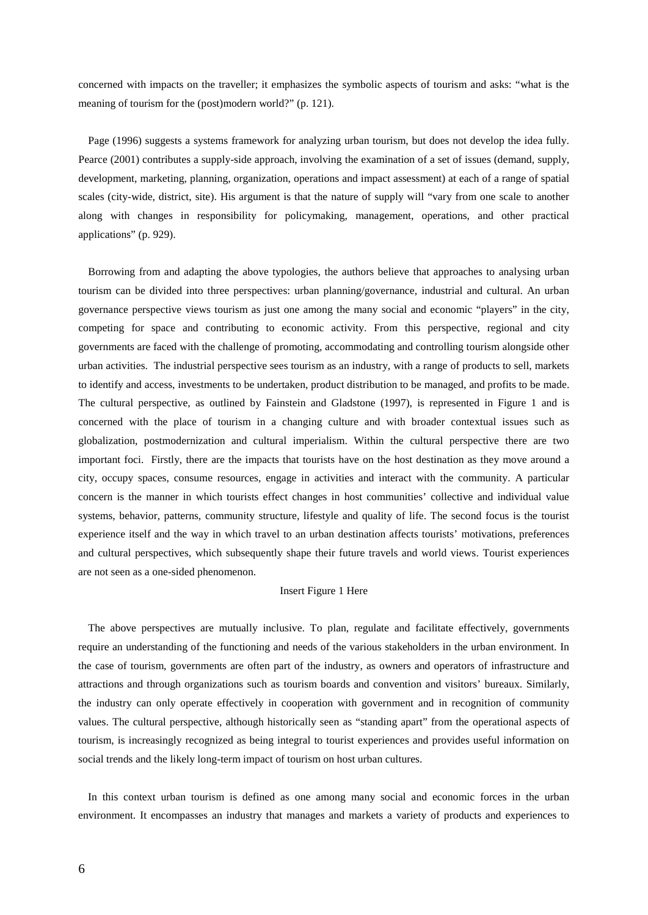concerned with impacts on the traveller; it emphasizes the symbolic aspects of tourism and asks: "what is the meaning of tourism for the (post)modern world?" (p. 121).

Page (1996) suggests a systems framework for analyzing urban tourism, but does not develop the idea fully. Pearce (2001) contributes a supply-side approach, involving the examination of a set of issues (demand, supply, development, marketing, planning, organization, operations and impact assessment) at each of a range of spatial scales (city-wide, district, site). His argument is that the nature of supply will "vary from one scale to another along with changes in responsibility for policymaking, management, operations, and other practical applications" (p. 929).

Borrowing from and adapting the above typologies, the authors believe that approaches to analysing urban tourism can be divided into three perspectives: urban planning/governance, industrial and cultural. An urban governance perspective views tourism as just one among the many social and economic "players" in the city, competing for space and contributing to economic activity. From this perspective, regional and city governments are faced with the challenge of promoting, accommodating and controlling tourism alongside other urban activities. The industrial perspective sees tourism as an industry, with a range of products to sell, markets to identify and access, investments to be undertaken, product distribution to be managed, and profits to be made. The cultural perspective, as outlined by Fainstein and Gladstone (1997), is represented in Figure 1 and is concerned with the place of tourism in a changing culture and with broader contextual issues such as globalization, postmodernization and cultural imperialism. Within the cultural perspective there are two important foci. Firstly, there are the impacts that tourists have on the host destination as they move around a city, occupy spaces, consume resources, engage in activities and interact with the community. A particular concern is the manner in which tourists effect changes in host communities' collective and individual value systems, behavior, patterns, community structure, lifestyle and quality of life. The second focus is the tourist experience itself and the way in which travel to an urban destination affects tourists' motivations, preferences and cultural perspectives, which subsequently shape their future travels and world views. Tourist experiences are not seen as a one-sided phenomenon.

# Insert Figure 1 Here

The above perspectives are mutually inclusive. To plan, regulate and facilitate effectively, governments require an understanding of the functioning and needs of the various stakeholders in the urban environment. In the case of tourism, governments are often part of the industry, as owners and operators of infrastructure and attractions and through organizations such as tourism boards and convention and visitors' bureaux. Similarly, the industry can only operate effectively in cooperation with government and in recognition of community values. The cultural perspective, although historically seen as "standing apart" from the operational aspects of tourism, is increasingly recognized as being integral to tourist experiences and provides useful information on social trends and the likely long-term impact of tourism on host urban cultures.

In this context urban tourism is defined as one among many social and economic forces in the urban environment. It encompasses an industry that manages and markets a variety of products and experiences to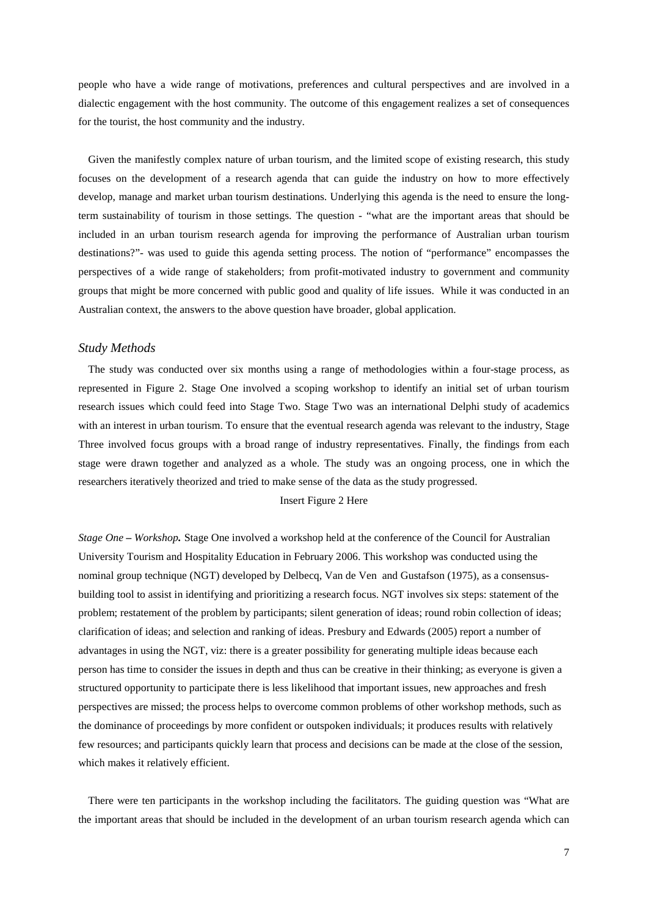people who have a wide range of motivations, preferences and cultural perspectives and are involved in a dialectic engagement with the host community. The outcome of this engagement realizes a set of consequences for the tourist, the host community and the industry.

Given the manifestly complex nature of urban tourism, and the limited scope of existing research, this study focuses on the development of a research agenda that can guide the industry on how to more effectively develop, manage and market urban tourism destinations. Underlying this agenda is the need to ensure the longterm sustainability of tourism in those settings. The question - "what are the important areas that should be included in an urban tourism research agenda for improving the performance of Australian urban tourism destinations?"- was used to guide this agenda setting process. The notion of "performance" encompasses the perspectives of a wide range of stakeholders; from profit-motivated industry to government and community groups that might be more concerned with public good and quality of life issues. While it was conducted in an Australian context, the answers to the above question have broader, global application.

# *Study Methods*

The study was conducted over six months using a range of methodologies within a four-stage process, as represented in Figure 2. Stage One involved a scoping workshop to identify an initial set of urban tourism research issues which could feed into Stage Two. Stage Two was an international Delphi study of academics with an interest in urban tourism. To ensure that the eventual research agenda was relevant to the industry, Stage Three involved focus groups with a broad range of industry representatives. Finally, the findings from each stage were drawn together and analyzed as a whole. The study was an ongoing process, one in which the researchers iteratively theorized and tried to make sense of the data as the study progressed.

## Insert Figure 2 Here

*Stage One – Workshop.* Stage One involved a workshop held at the conference of the Council for Australian University Tourism and Hospitality Education in February 2006. This workshop was conducted using the nominal group technique (NGT) developed by Delbecq, Van de Ven and Gustafson (1975), as a consensusbuilding tool to assist in identifying and prioritizing a research focus. NGT involves six steps: statement of the problem; restatement of the problem by participants; silent generation of ideas; round robin collection of ideas; clarification of ideas; and selection and ranking of ideas. Presbury and Edwards (2005) report a number of advantages in using the NGT, viz: there is a greater possibility for generating multiple ideas because each person has time to consider the issues in depth and thus can be creative in their thinking; as everyone is given a structured opportunity to participate there is less likelihood that important issues, new approaches and fresh perspectives are missed; the process helps to overcome common problems of other workshop methods, such as the dominance of proceedings by more confident or outspoken individuals; it produces results with relatively few resources; and participants quickly learn that process and decisions can be made at the close of the session, which makes it relatively efficient.

There were ten participants in the workshop including the facilitators. The guiding question was "What are the important areas that should be included in the development of an urban tourism research agenda which can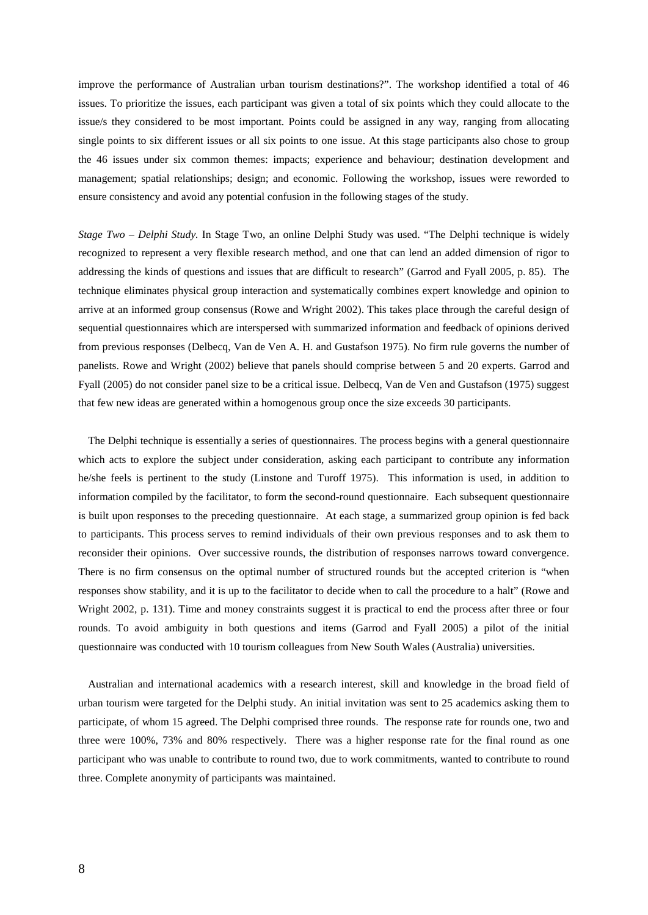improve the performance of Australian urban tourism destinations?". The workshop identified a total of 46 issues. To prioritize the issues, each participant was given a total of six points which they could allocate to the issue/s they considered to be most important. Points could be assigned in any way, ranging from allocating single points to six different issues or all six points to one issue. At this stage participants also chose to group the 46 issues under six common themes: impacts; experience and behaviour; destination development and management; spatial relationships; design; and economic. Following the workshop, issues were reworded to ensure consistency and avoid any potential confusion in the following stages of the study.

*Stage Two – Delphi Study.* In Stage Two, an online Delphi Study was used. "The Delphi technique is widely recognized to represent a very flexible research method, and one that can lend an added dimension of rigor to addressing the kinds of questions and issues that are difficult to research" (Garrod and Fyall 2005, p. 85). The technique eliminates physical group interaction and systematically combines expert knowledge and opinion to arrive at an informed group consensus (Rowe and Wright 2002). This takes place through the careful design of sequential questionnaires which are interspersed with summarized information and feedback of opinions derived from previous responses (Delbecq, Van de Ven A. H. and Gustafson 1975). No firm rule governs the number of panelists. Rowe and Wright (2002) believe that panels should comprise between 5 and 20 experts. Garrod and Fyall (2005) do not consider panel size to be a critical issue. Delbecq, Van de Ven and Gustafson (1975) suggest that few new ideas are generated within a homogenous group once the size exceeds 30 participants.

The Delphi technique is essentially a series of questionnaires. The process begins with a general questionnaire which acts to explore the subject under consideration, asking each participant to contribute any information he/she feels is pertinent to the study (Linstone and Turoff 1975). This information is used, in addition to information compiled by the facilitator, to form the second-round questionnaire. Each subsequent questionnaire is built upon responses to the preceding questionnaire. At each stage, a summarized group opinion is fed back to participants. This process serves to remind individuals of their own previous responses and to ask them to reconsider their opinions. Over successive rounds, the distribution of responses narrows toward convergence. There is no firm consensus on the optimal number of structured rounds but the accepted criterion is "when responses show stability, and it is up to the facilitator to decide when to call the procedure to a halt" (Rowe and Wright 2002, p. 131). Time and money constraints suggest it is practical to end the process after three or four rounds. To avoid ambiguity in both questions and items (Garrod and Fyall 2005) a pilot of the initial questionnaire was conducted with 10 tourism colleagues from New South Wales (Australia) universities.

Australian and international academics with a research interest, skill and knowledge in the broad field of urban tourism were targeted for the Delphi study. An initial invitation was sent to 25 academics asking them to participate, of whom 15 agreed. The Delphi comprised three rounds. The response rate for rounds one, two and three were 100%, 73% and 80% respectively. There was a higher response rate for the final round as one participant who was unable to contribute to round two, due to work commitments, wanted to contribute to round three. Complete anonymity of participants was maintained.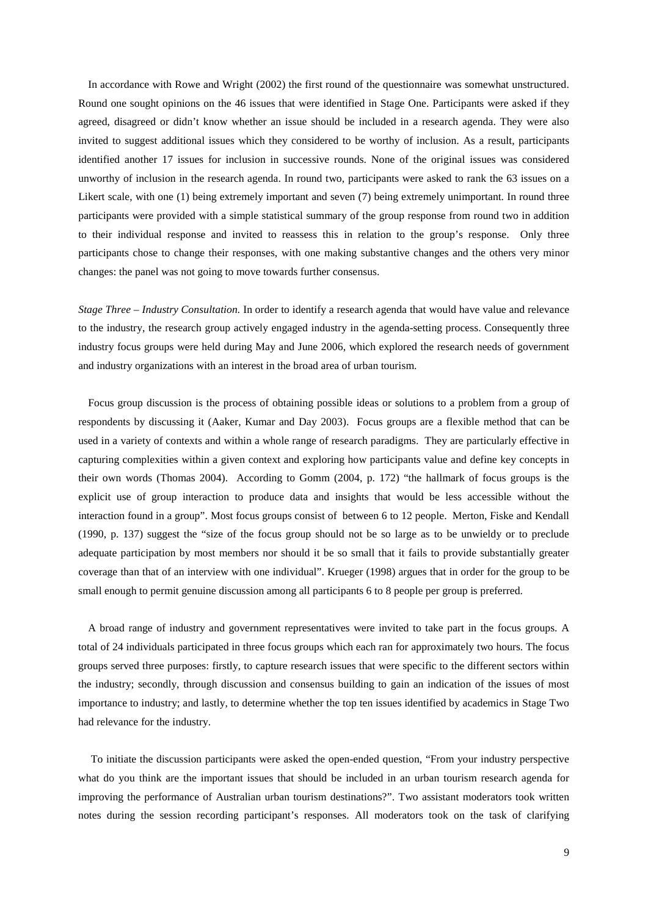In accordance with Rowe and Wright (2002) the first round of the questionnaire was somewhat unstructured. Round one sought opinions on the 46 issues that were identified in Stage One. Participants were asked if they agreed, disagreed or didn't know whether an issue should be included in a research agenda. They were also invited to suggest additional issues which they considered to be worthy of inclusion. As a result, participants identified another 17 issues for inclusion in successive rounds. None of the original issues was considered unworthy of inclusion in the research agenda. In round two, participants were asked to rank the 63 issues on a Likert scale, with one (1) being extremely important and seven (7) being extremely unimportant. In round three participants were provided with a simple statistical summary of the group response from round two in addition to their individual response and invited to reassess this in relation to the group's response. Only three participants chose to change their responses, with one making substantive changes and the others very minor changes: the panel was not going to move towards further consensus.

*Stage Three – Industry Consultation.* In order to identify a research agenda that would have value and relevance to the industry, the research group actively engaged industry in the agenda-setting process. Consequently three industry focus groups were held during May and June 2006, which explored the research needs of government and industry organizations with an interest in the broad area of urban tourism.

Focus group discussion is the process of obtaining possible ideas or solutions to a problem from a group of respondents by discussing it (Aaker, Kumar and Day 2003). Focus groups are a flexible method that can be used in a variety of contexts and within a whole range of research paradigms. They are particularly effective in capturing complexities within a given context and exploring how participants value and define key concepts in their own words (Thomas 2004). According to Gomm (2004, p. 172) "the hallmark of focus groups is the explicit use of group interaction to produce data and insights that would be less accessible without the interaction found in a group". Most focus groups consist of between 6 to 12 people. Merton, Fiske and Kendall (1990, p. 137) suggest the "size of the focus group should not be so large as to be unwieldy or to preclude adequate participation by most members nor should it be so small that it fails to provide substantially greater coverage than that of an interview with one individual". Krueger (1998) argues that in order for the group to be small enough to permit genuine discussion among all participants 6 to 8 people per group is preferred.

A broad range of industry and government representatives were invited to take part in the focus groups. A total of 24 individuals participated in three focus groups which each ran for approximately two hours. The focus groups served three purposes: firstly, to capture research issues that were specific to the different sectors within the industry; secondly, through discussion and consensus building to gain an indication of the issues of most importance to industry; and lastly, to determine whether the top ten issues identified by academics in Stage Two had relevance for the industry.

To initiate the discussion participants were asked the open-ended question, "From your industry perspective what do you think are the important issues that should be included in an urban tourism research agenda for improving the performance of Australian urban tourism destinations?". Two assistant moderators took written notes during the session recording participant's responses. All moderators took on the task of clarifying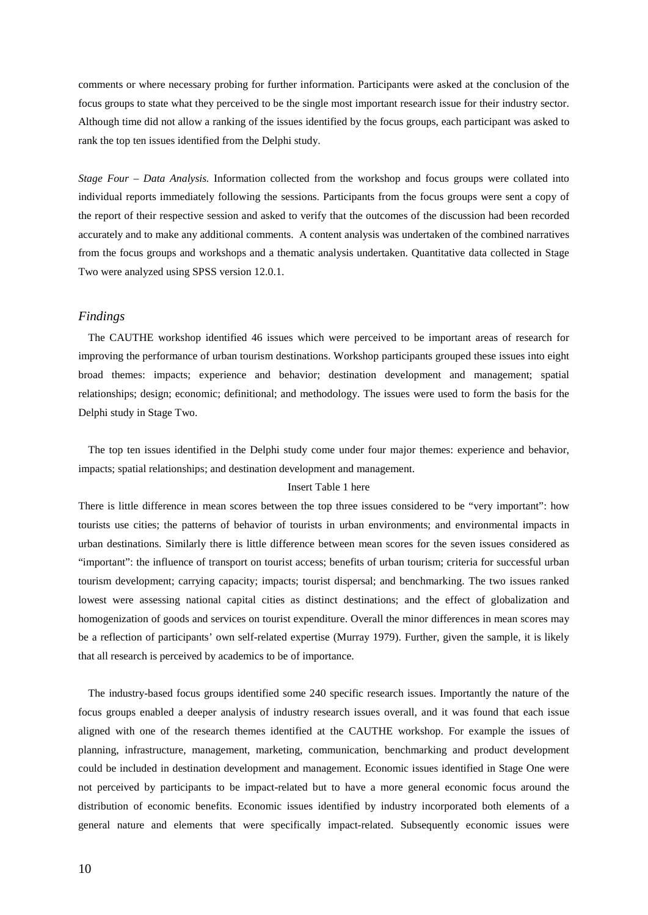comments or where necessary probing for further information. Participants were asked at the conclusion of the focus groups to state what they perceived to be the single most important research issue for their industry sector. Although time did not allow a ranking of the issues identified by the focus groups, each participant was asked to rank the top ten issues identified from the Delphi study.

*Stage Four – Data Analysis.* Information collected from the workshop and focus groups were collated into individual reports immediately following the sessions. Participants from the focus groups were sent a copy of the report of their respective session and asked to verify that the outcomes of the discussion had been recorded accurately and to make any additional comments. A content analysis was undertaken of the combined narratives from the focus groups and workshops and a thematic analysis undertaken. Quantitative data collected in Stage Two were analyzed using SPSS version 12.0.1.

# *Findings*

The CAUTHE workshop identified 46 issues which were perceived to be important areas of research for improving the performance of urban tourism destinations. Workshop participants grouped these issues into eight broad themes: impacts; experience and behavior; destination development and management; spatial relationships; design; economic; definitional; and methodology. The issues were used to form the basis for the Delphi study in Stage Two.

The top ten issues identified in the Delphi study come under four major themes: experience and behavior, impacts; spatial relationships; and destination development and management.

# Insert Table 1 here

There is little difference in mean scores between the top three issues considered to be "very important": how tourists use cities; the patterns of behavior of tourists in urban environments; and environmental impacts in urban destinations. Similarly there is little difference between mean scores for the seven issues considered as "important": the influence of transport on tourist access; benefits of urban tourism; criteria for successful urban tourism development; carrying capacity; impacts; tourist dispersal; and benchmarking. The two issues ranked lowest were assessing national capital cities as distinct destinations; and the effect of globalization and homogenization of goods and services on tourist expenditure. Overall the minor differences in mean scores may be a reflection of participants' own self-related expertise (Murray 1979). Further, given the sample, it is likely that all research is perceived by academics to be of importance.

The industry-based focus groups identified some 240 specific research issues. Importantly the nature of the focus groups enabled a deeper analysis of industry research issues overall, and it was found that each issue aligned with one of the research themes identified at the CAUTHE workshop. For example the issues of planning, infrastructure, management, marketing, communication, benchmarking and product development could be included in destination development and management. Economic issues identified in Stage One were not perceived by participants to be impact-related but to have a more general economic focus around the distribution of economic benefits. Economic issues identified by industry incorporated both elements of a general nature and elements that were specifically impact-related. Subsequently economic issues were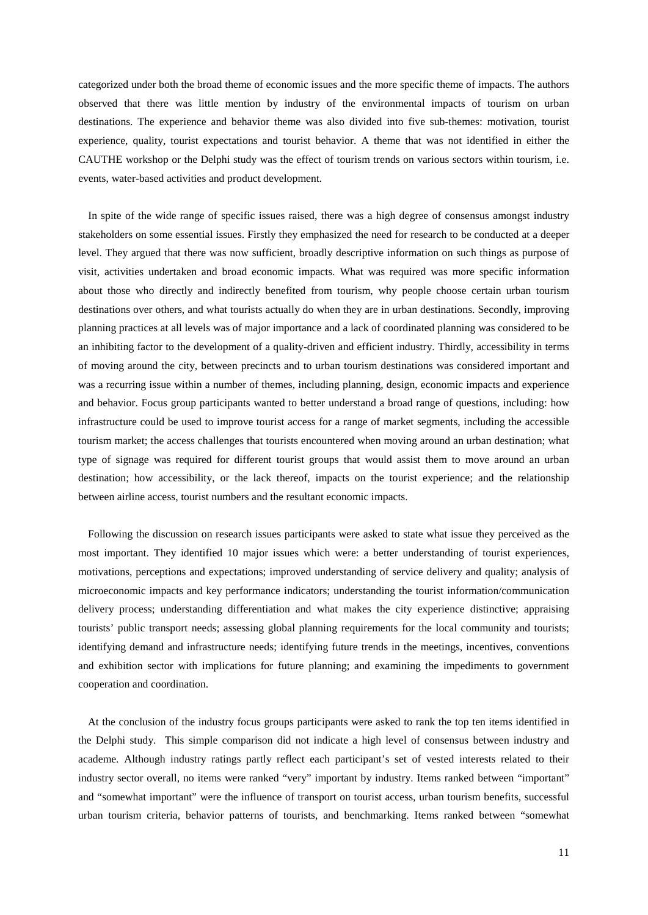categorized under both the broad theme of economic issues and the more specific theme of impacts. The authors observed that there was little mention by industry of the environmental impacts of tourism on urban destinations. The experience and behavior theme was also divided into five sub-themes: motivation, tourist experience, quality, tourist expectations and tourist behavior. A theme that was not identified in either the CAUTHE workshop or the Delphi study was the effect of tourism trends on various sectors within tourism, i.e. events, water-based activities and product development.

In spite of the wide range of specific issues raised, there was a high degree of consensus amongst industry stakeholders on some essential issues. Firstly they emphasized the need for research to be conducted at a deeper level. They argued that there was now sufficient, broadly descriptive information on such things as purpose of visit, activities undertaken and broad economic impacts. What was required was more specific information about those who directly and indirectly benefited from tourism, why people choose certain urban tourism destinations over others, and what tourists actually do when they are in urban destinations. Secondly, improving planning practices at all levels was of major importance and a lack of coordinated planning was considered to be an inhibiting factor to the development of a quality-driven and efficient industry. Thirdly, accessibility in terms of moving around the city, between precincts and to urban tourism destinations was considered important and was a recurring issue within a number of themes, including planning, design, economic impacts and experience and behavior. Focus group participants wanted to better understand a broad range of questions, including: how infrastructure could be used to improve tourist access for a range of market segments, including the accessible tourism market; the access challenges that tourists encountered when moving around an urban destination; what type of signage was required for different tourist groups that would assist them to move around an urban destination; how accessibility, or the lack thereof, impacts on the tourist experience; and the relationship between airline access, tourist numbers and the resultant economic impacts.

Following the discussion on research issues participants were asked to state what issue they perceived as the most important. They identified 10 major issues which were: a better understanding of tourist experiences, motivations, perceptions and expectations; improved understanding of service delivery and quality; analysis of microeconomic impacts and key performance indicators; understanding the tourist information/communication delivery process; understanding differentiation and what makes the city experience distinctive; appraising tourists' public transport needs; assessing global planning requirements for the local community and tourists; identifying demand and infrastructure needs; identifying future trends in the meetings, incentives, conventions and exhibition sector with implications for future planning; and examining the impediments to government cooperation and coordination.

At the conclusion of the industry focus groups participants were asked to rank the top ten items identified in the Delphi study. This simple comparison did not indicate a high level of consensus between industry and academe. Although industry ratings partly reflect each participant's set of vested interests related to their industry sector overall, no items were ranked "very" important by industry. Items ranked between "important" and "somewhat important" were the influence of transport on tourist access, urban tourism benefits, successful urban tourism criteria, behavior patterns of tourists, and benchmarking. Items ranked between "somewhat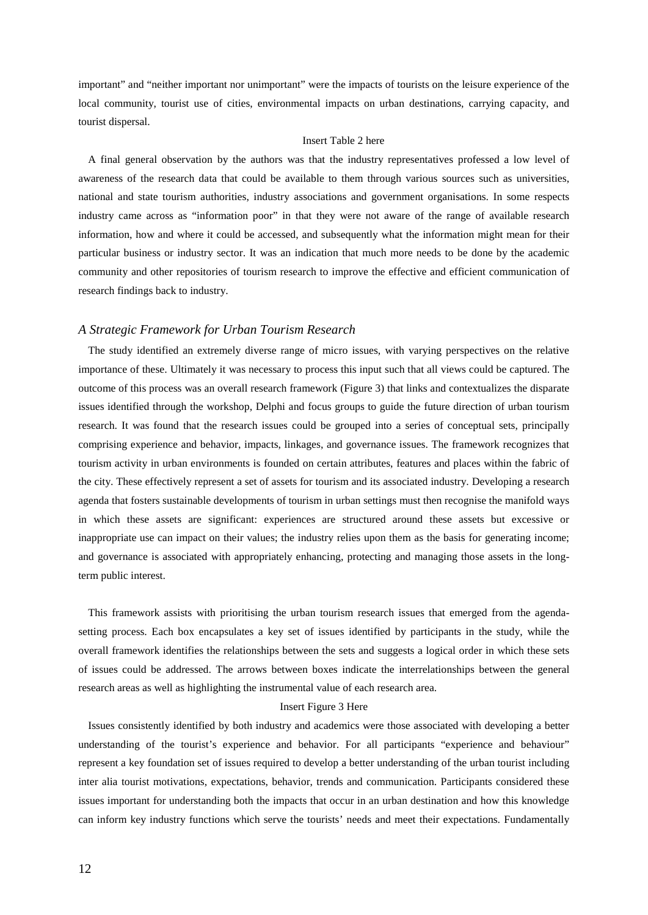important" and "neither important nor unimportant" were the impacts of tourists on the leisure experience of the local community, tourist use of cities, environmental impacts on urban destinations, carrying capacity, and tourist dispersal.

### Insert Table 2 here

A final general observation by the authors was that the industry representatives professed a low level of awareness of the research data that could be available to them through various sources such as universities, national and state tourism authorities, industry associations and government organisations. In some respects industry came across as "information poor" in that they were not aware of the range of available research information, how and where it could be accessed, and subsequently what the information might mean for their particular business or industry sector. It was an indication that much more needs to be done by the academic community and other repositories of tourism research to improve the effective and efficient communication of research findings back to industry.

# *A Strategic Framework for Urban Tourism Research*

The study identified an extremely diverse range of micro issues, with varying perspectives on the relative importance of these. Ultimately it was necessary to process this input such that all views could be captured. The outcome of this process was an overall research framework (Figure 3) that links and contextualizes the disparate issues identified through the workshop, Delphi and focus groups to guide the future direction of urban tourism research. It was found that the research issues could be grouped into a series of conceptual sets, principally comprising experience and behavior, impacts, linkages, and governance issues. The framework recognizes that tourism activity in urban environments is founded on certain attributes, features and places within the fabric of the city. These effectively represent a set of assets for tourism and its associated industry. Developing a research agenda that fosters sustainable developments of tourism in urban settings must then recognise the manifold ways in which these assets are significant: experiences are structured around these assets but excessive or inappropriate use can impact on their values; the industry relies upon them as the basis for generating income; and governance is associated with appropriately enhancing, protecting and managing those assets in the longterm public interest.

This framework assists with prioritising the urban tourism research issues that emerged from the agendasetting process. Each box encapsulates a key set of issues identified by participants in the study, while the overall framework identifies the relationships between the sets and suggests a logical order in which these sets of issues could be addressed. The arrows between boxes indicate the interrelationships between the general research areas as well as highlighting the instrumental value of each research area.

### Insert Figure 3 Here

Issues consistently identified by both industry and academics were those associated with developing a better understanding of the tourist's experience and behavior. For all participants "experience and behaviour" represent a key foundation set of issues required to develop a better understanding of the urban tourist including inter alia tourist motivations, expectations, behavior, trends and communication. Participants considered these issues important for understanding both the impacts that occur in an urban destination and how this knowledge can inform key industry functions which serve the tourists' needs and meet their expectations. Fundamentally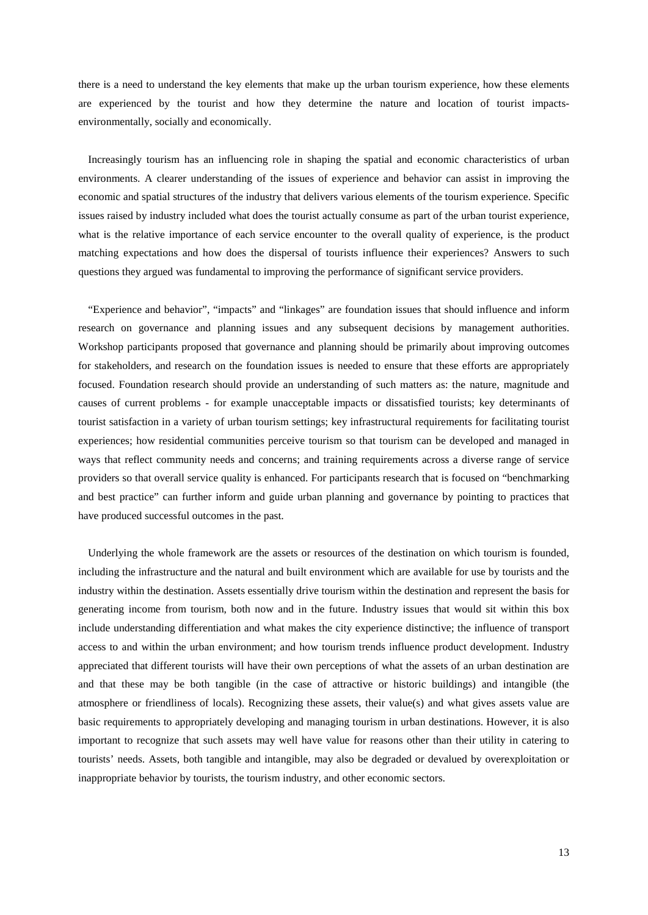there is a need to understand the key elements that make up the urban tourism experience, how these elements are experienced by the tourist and how they determine the nature and location of tourist impactsenvironmentally, socially and economically.

Increasingly tourism has an influencing role in shaping the spatial and economic characteristics of urban environments. A clearer understanding of the issues of experience and behavior can assist in improving the economic and spatial structures of the industry that delivers various elements of the tourism experience. Specific issues raised by industry included what does the tourist actually consume as part of the urban tourist experience, what is the relative importance of each service encounter to the overall quality of experience, is the product matching expectations and how does the dispersal of tourists influence their experiences? Answers to such questions they argued was fundamental to improving the performance of significant service providers.

"Experience and behavior", "impacts" and "linkages" are foundation issues that should influence and inform research on governance and planning issues and any subsequent decisions by management authorities. Workshop participants proposed that governance and planning should be primarily about improving outcomes for stakeholders, and research on the foundation issues is needed to ensure that these efforts are appropriately focused. Foundation research should provide an understanding of such matters as: the nature, magnitude and causes of current problems - for example unacceptable impacts or dissatisfied tourists; key determinants of tourist satisfaction in a variety of urban tourism settings; key infrastructural requirements for facilitating tourist experiences; how residential communities perceive tourism so that tourism can be developed and managed in ways that reflect community needs and concerns; and training requirements across a diverse range of service providers so that overall service quality is enhanced. For participants research that is focused on "benchmarking and best practice" can further inform and guide urban planning and governance by pointing to practices that have produced successful outcomes in the past.

Underlying the whole framework are the assets or resources of the destination on which tourism is founded, including the infrastructure and the natural and built environment which are available for use by tourists and the industry within the destination. Assets essentially drive tourism within the destination and represent the basis for generating income from tourism, both now and in the future. Industry issues that would sit within this box include understanding differentiation and what makes the city experience distinctive; the influence of transport access to and within the urban environment; and how tourism trends influence product development. Industry appreciated that different tourists will have their own perceptions of what the assets of an urban destination are and that these may be both tangible (in the case of attractive or historic buildings) and intangible (the atmosphere or friendliness of locals). Recognizing these assets, their value(s) and what gives assets value are basic requirements to appropriately developing and managing tourism in urban destinations. However, it is also important to recognize that such assets may well have value for reasons other than their utility in catering to tourists' needs. Assets, both tangible and intangible, may also be degraded or devalued by overexploitation or inappropriate behavior by tourists, the tourism industry, and other economic sectors.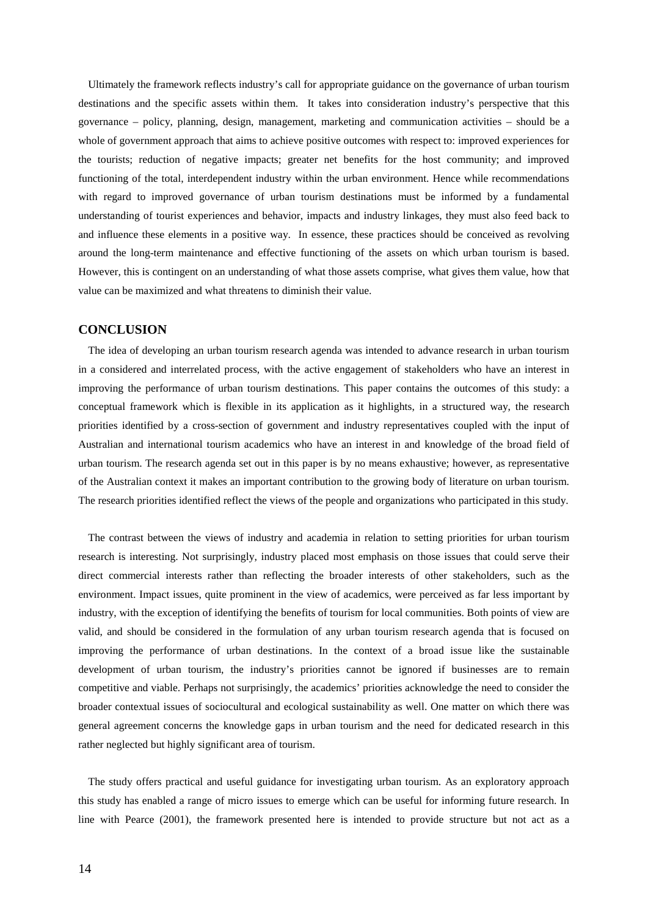Ultimately the framework reflects industry's call for appropriate guidance on the governance of urban tourism destinations and the specific assets within them. It takes into consideration industry's perspective that this governance – policy, planning, design, management, marketing and communication activities – should be a whole of government approach that aims to achieve positive outcomes with respect to: improved experiences for the tourists; reduction of negative impacts; greater net benefits for the host community; and improved functioning of the total, interdependent industry within the urban environment. Hence while recommendations with regard to improved governance of urban tourism destinations must be informed by a fundamental understanding of tourist experiences and behavior, impacts and industry linkages, they must also feed back to and influence these elements in a positive way. In essence, these practices should be conceived as revolving around the long-term maintenance and effective functioning of the assets on which urban tourism is based. However, this is contingent on an understanding of what those assets comprise, what gives them value, how that value can be maximized and what threatens to diminish their value.

# **CONCLUSION**

The idea of developing an urban tourism research agenda was intended to advance research in urban tourism in a considered and interrelated process, with the active engagement of stakeholders who have an interest in improving the performance of urban tourism destinations. This paper contains the outcomes of this study: a conceptual framework which is flexible in its application as it highlights, in a structured way, the research priorities identified by a cross-section of government and industry representatives coupled with the input of Australian and international tourism academics who have an interest in and knowledge of the broad field of urban tourism. The research agenda set out in this paper is by no means exhaustive; however, as representative of the Australian context it makes an important contribution to the growing body of literature on urban tourism. The research priorities identified reflect the views of the people and organizations who participated in this study.

The contrast between the views of industry and academia in relation to setting priorities for urban tourism research is interesting. Not surprisingly, industry placed most emphasis on those issues that could serve their direct commercial interests rather than reflecting the broader interests of other stakeholders, such as the environment. Impact issues, quite prominent in the view of academics, were perceived as far less important by industry, with the exception of identifying the benefits of tourism for local communities. Both points of view are valid, and should be considered in the formulation of any urban tourism research agenda that is focused on improving the performance of urban destinations. In the context of a broad issue like the sustainable development of urban tourism, the industry's priorities cannot be ignored if businesses are to remain competitive and viable. Perhaps not surprisingly, the academics' priorities acknowledge the need to consider the broader contextual issues of sociocultural and ecological sustainability as well. One matter on which there was general agreement concerns the knowledge gaps in urban tourism and the need for dedicated research in this rather neglected but highly significant area of tourism.

The study offers practical and useful guidance for investigating urban tourism. As an exploratory approach this study has enabled a range of micro issues to emerge which can be useful for informing future research. In line with Pearce (2001), the framework presented here is intended to provide structure but not act as a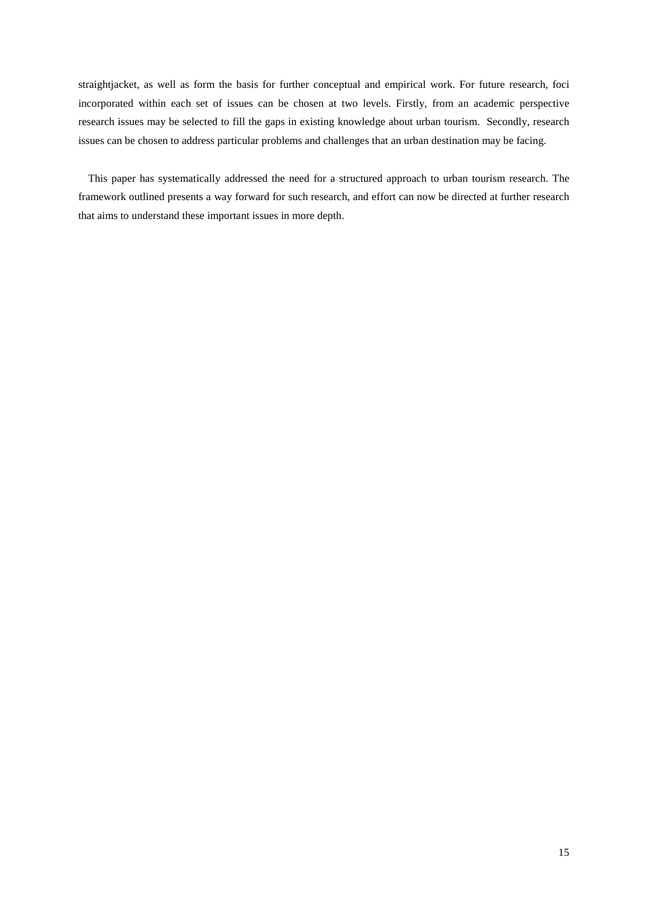straightjacket, as well as form the basis for further conceptual and empirical work. For future research, foci incorporated within each set of issues can be chosen at two levels. Firstly, from an academic perspective research issues may be selected to fill the gaps in existing knowledge about urban tourism. Secondly, research issues can be chosen to address particular problems and challenges that an urban destination may be facing.

This paper has systematically addressed the need for a structured approach to urban tourism research. The framework outlined presents a way forward for such research, and effort can now be directed at further research that aims to understand these important issues in more depth.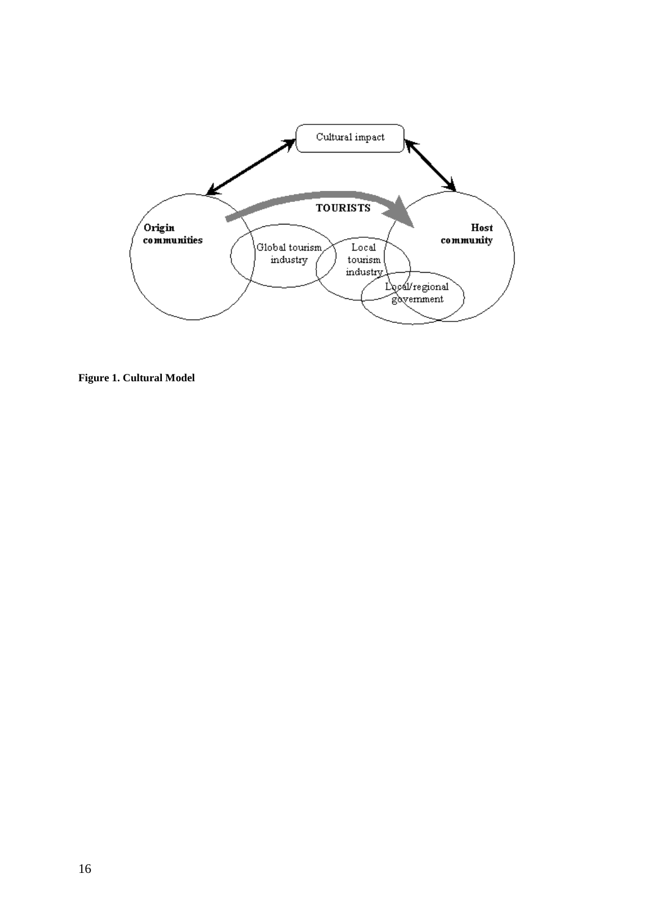

**Figure 1. Cultural Model**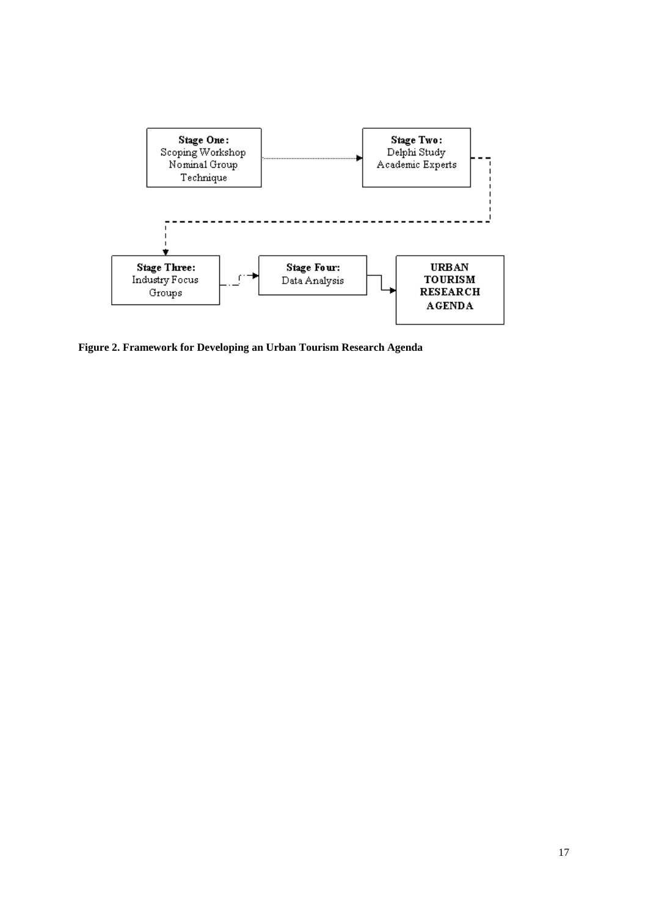

**Figure 2. Framework for Developing an Urban Tourism Research Agenda**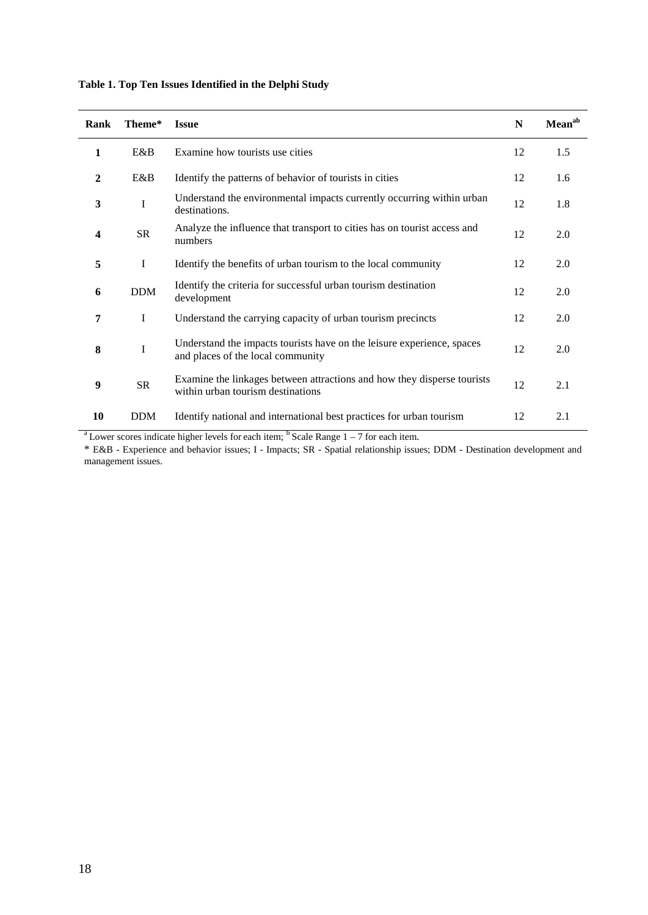| Rank         | Theme*      | <b>Issue</b>                                                                                                 | N  | <b>Mean</b> <sup>ab</sup> |
|--------------|-------------|--------------------------------------------------------------------------------------------------------------|----|---------------------------|
| $\mathbf{1}$ | E&B         | Examine how tourists use cities                                                                              | 12 | 1.5                       |
| 2            | E&B         | Identify the patterns of behavior of tourists in cities                                                      | 12 | 1.6                       |
| 3            | $\bf I$     | Understand the environmental impacts currently occurring within urban<br>destinations.                       | 12 | 1.8                       |
| 4            | <b>SR</b>   | Analyze the influence that transport to cities has on tourist access and<br>numbers                          | 12 | 2.0                       |
| 5            | $\mathbf I$ | Identify the benefits of urban tourism to the local community                                                | 12 | 2.0                       |
| 6            | <b>DDM</b>  | Identify the criteria for successful urban tourism destination<br>development                                | 12 | 2.0                       |
| 7            | $\bf{I}$    | Understand the carrying capacity of urban tourism precincts                                                  | 12 | 2.0                       |
| 8            | I           | Understand the impacts tourists have on the leisure experience, spaces<br>and places of the local community  | 12 | 2.0                       |
| 9            | <b>SR</b>   | Examine the linkages between attractions and how they disperse tourists<br>within urban tourism destinations | 12 | 2.1                       |
| 10           | <b>DDM</b>  | Identify national and international best practices for urban tourism                                         | 12 | 2.1                       |

**Table 1. Top Ten Issues Identified in the Delphi Study**

 $a<sup>a</sup>$  Lower scores indicate higher levels for each item;  $b<sup>b</sup>$  Scale Range 1 – 7 for each item.

\* E&B - Experience and behavior issues; I - Impacts; SR - Spatial relationship issues; DDM - Destination development and management issues.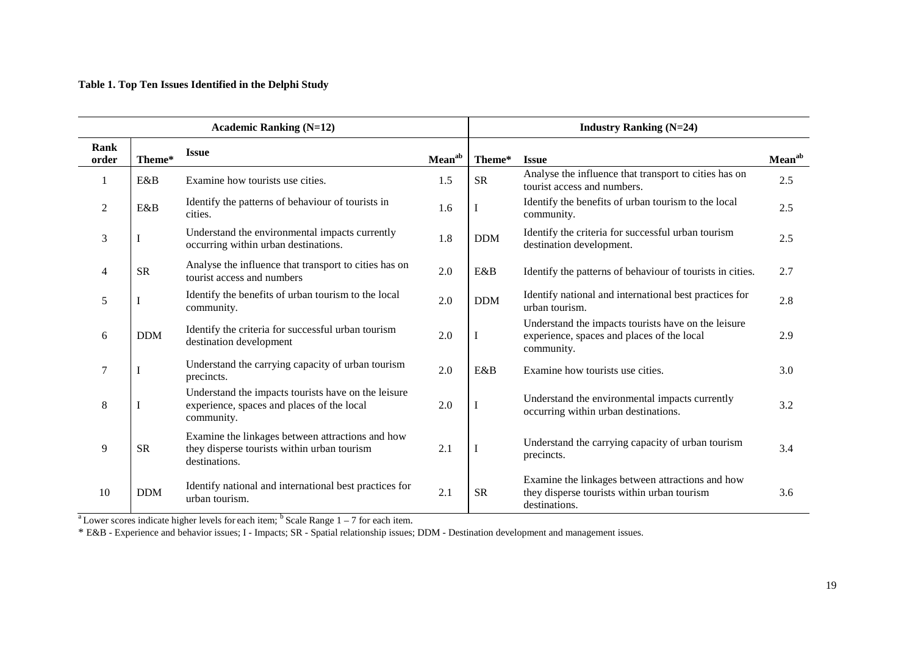# **Table 1. Top Ten Issues Identified in the Delphi Study**

| <b>Academic Ranking (N=12)</b> |            |                                                                                                                  |                    |            | <b>Industry Ranking (N=24)</b>                                                                                   |                    |  |
|--------------------------------|------------|------------------------------------------------------------------------------------------------------------------|--------------------|------------|------------------------------------------------------------------------------------------------------------------|--------------------|--|
| Rank<br>order                  | Theme*     | <b>Issue</b>                                                                                                     | Mean <sup>ab</sup> | Theme*     | <b>Issue</b>                                                                                                     | Mean <sup>ab</sup> |  |
| -1                             | E&B        | Examine how tourists use cities.                                                                                 | 1.5                | <b>SR</b>  | Analyse the influence that transport to cities has on<br>tourist access and numbers.                             | 2.5                |  |
| 2                              | E&B        | Identify the patterns of behaviour of tourists in<br>cities.                                                     | 1.6                |            | Identify the benefits of urban tourism to the local<br>community.                                                | 2.5                |  |
| 3                              |            | Understand the environmental impacts currently<br>occurring within urban destinations.                           | 1.8                | <b>DDM</b> | Identify the criteria for successful urban tourism<br>destination development.                                   | 2.5                |  |
| 4                              | <b>SR</b>  | Analyse the influence that transport to cities has on<br>tourist access and numbers                              | 2.0                | E&B        | Identify the patterns of behaviour of tourists in cities.                                                        | 2.7                |  |
| 5                              |            | Identify the benefits of urban tourism to the local<br>community.                                                | 2.0                | DDM        | Identify national and international best practices for<br>urban tourism.                                         | 2.8                |  |
| 6                              | <b>DDM</b> | Identify the criteria for successful urban tourism<br>destination development                                    | 2.0                |            | Understand the impacts tourists have on the leisure<br>experience, spaces and places of the local<br>community.  | 2.9                |  |
| 7                              |            | Understand the carrying capacity of urban tourism<br>precincts.                                                  | 2.0                | E&B        | Examine how tourists use cities.                                                                                 | 3.0                |  |
| 8                              | I          | Understand the impacts tourists have on the leisure<br>experience, spaces and places of the local<br>community.  | 2.0                |            | Understand the environmental impacts currently<br>occurring within urban destinations.                           | 3.2                |  |
| 9                              | <b>SR</b>  | Examine the linkages between attractions and how<br>they disperse tourists within urban tourism<br>destinations. | 2.1                |            | Understand the carrying capacity of urban tourism<br>precincts.                                                  | 3.4                |  |
| 10                             | <b>DDM</b> | Identify national and international best practices for<br>urban tourism.                                         | 2.1                | <b>SR</b>  | Examine the linkages between attractions and how<br>they disperse tourists within urban tourism<br>destinations. | 3.6                |  |

 $a<sup>a</sup>$  Lower scores indicate higher levels for each item;  $b<sup>b</sup>$  Scale Range 1 – 7 for each item.

\* E&B - Experience and behavior issues; I - Impacts; SR - Spatial relationship issues; DDM - Destination development and management issues.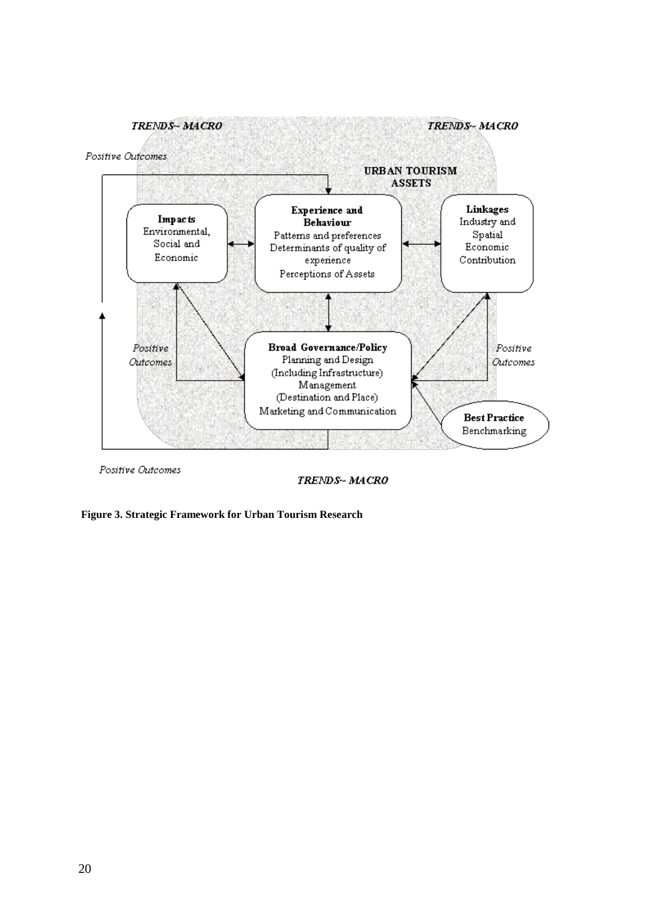

Positive Outcomes

TRENDS-MACRO

**Figure 3. Strategic Framework for Urban Tourism Research**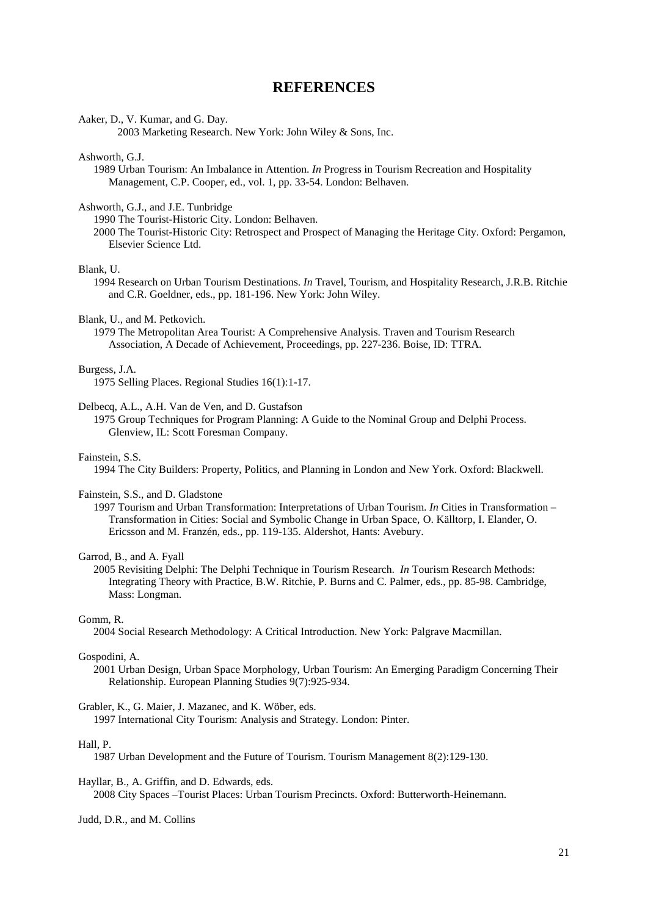# **REFERENCES**

#### Aaker, D., V. Kumar, and G. Day.

2003 Marketing Research. New York: John Wiley & Sons, Inc.

#### Ashworth, G.J.

1989 Urban Tourism: An Imbalance in Attention. *In* Progress in Tourism Recreation and Hospitality Management, C.P. Cooper, ed., vol. 1, pp. 33-54. London: Belhaven.

#### Ashworth, G.J., and J.E. Tunbridge

1990 The Tourist-Historic City. London: Belhaven.

2000 The Tourist-Historic City: Retrospect and Prospect of Managing the Heritage City. Oxford: Pergamon, Elsevier Science Ltd.

# Blank, U.

1994 Research on Urban Tourism Destinations. *In* Travel, Tourism, and Hospitality Research, J.R.B. Ritchie and C.R. Goeldner, eds., pp. 181-196. New York: John Wiley.

#### Blank, U., and M. Petkovich.

1979 The Metropolitan Area Tourist: A Comprehensive Analysis. Traven and Tourism Research Association, A Decade of Achievement, Proceedings, pp. 227-236. Boise, ID: TTRA.

#### Burgess, J.A.

1975 Selling Places. Regional Studies 16(1):1-17.

#### Delbecq, A.L., A.H. Van de Ven, and D. Gustafson

1975 Group Techniques for Program Planning: A Guide to the Nominal Group and Delphi Process. Glenview, IL: Scott Foresman Company.

### Fainstein, S.S.

1994 The City Builders: Property, Politics, and Planning in London and New York. Oxford: Blackwell.

# Fainstein, S.S., and D. Gladstone

1997 Tourism and Urban Transformation: Interpretations of Urban Tourism. *In* Cities in Transformation – Transformation in Cities: Social and Symbolic Change in Urban Space, O. Källtorp, I. Elander, O. Ericsson and M. Franzén, eds., pp. 119-135. Aldershot, Hants: Avebury.

# Garrod, B., and A. Fyall

2005 Revisiting Delphi: The Delphi Technique in Tourism Research. *In* Tourism Research Methods: Integrating Theory with Practice, B.W. Ritchie, P. Burns and C. Palmer, eds., pp. 85-98. Cambridge, Mass: Longman.

#### Gomm, R.

2004 Social Research Methodology: A Critical Introduction. New York: Palgrave Macmillan.

#### Gospodini, A.

2001 Urban Design, Urban Space Morphology, Urban Tourism: An Emerging Paradigm Concerning Their Relationship. European Planning Studies 9(7):925-934.

# Grabler, K., G. Maier, J. Mazanec, and K. Wöber, eds.

1997 International City Tourism: Analysis and Strategy. London: Pinter.

#### Hall, P.

1987 Urban Development and the Future of Tourism. Tourism Management 8(2):129-130.

# Hayllar, B., A. Griffin, and D. Edwards, eds.

2008 City Spaces –Tourist Places: Urban Tourism Precincts. Oxford: Butterworth-Heinemann.

#### Judd, D.R., and M. Collins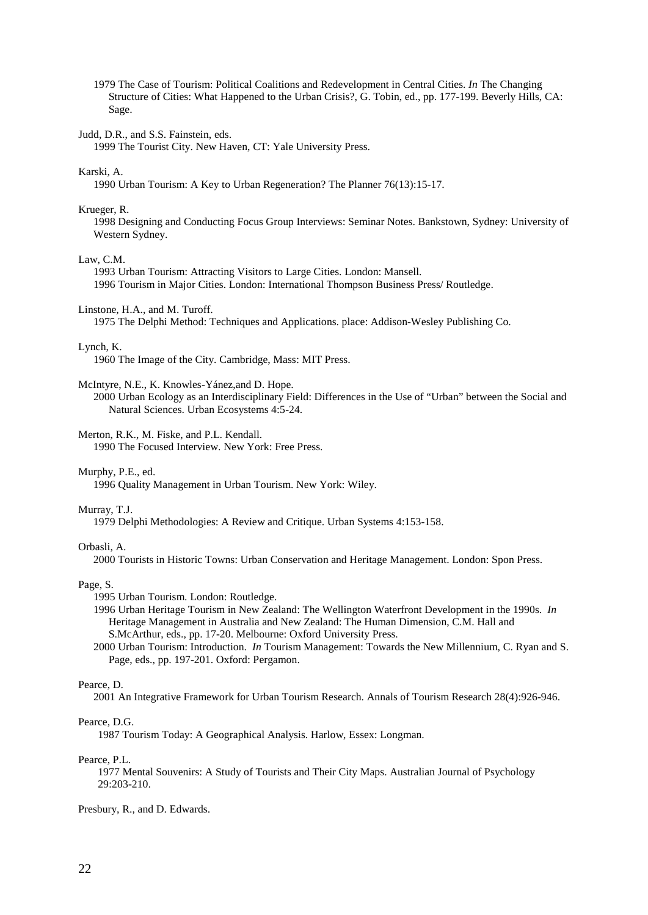1979 The Case of Tourism: Political Coalitions and Redevelopment in Central Cities. *In* The Changing Structure of Cities: What Happened to the Urban Crisis?, G. Tobin, ed., pp. 177-199. Beverly Hills, CA: Sage.

Judd, D.R., and S.S. Fainstein, eds.

1999 The Tourist City. New Haven, CT: Yale University Press.

### Karski, A.

1990 Urban Tourism: A Key to Urban Regeneration? The Planner 76(13):15-17.

#### Krueger, R.

1998 Designing and Conducting Focus Group Interviews: Seminar Notes. Bankstown, Sydney: University of Western Sydney.

#### Law, C.M.

1993 Urban Tourism: Attracting Visitors to Large Cities. London: Mansell. 1996 Tourism in Major Cities. London: International Thompson Business Press/ Routledge.

## Linstone, H.A., and M. Turoff.

1975 The Delphi Method: Techniques and Applications. place: Addison-Wesley Publishing Co.

#### Lynch, K.

1960 The Image of the City. Cambridge, Mass: MIT Press.

# McIntyre, N.E., K. Knowles-Yánez,and D. Hope.

2000 Urban Ecology as an Interdisciplinary Field: Differences in the Use of "Urban" between the Social and Natural Sciences. Urban Ecosystems 4:5-24.

# Merton, R.K., M. Fiske, and P.L. Kendall.

1990 The Focused Interview. New York: Free Press.

## Murphy, P.E., ed.

1996 Quality Management in Urban Tourism. New York: Wiley.

## Murray, T.J.

1979 Delphi Methodologies: A Review and Critique. Urban Systems 4:153-158.

#### Orbasli, A.

2000 Tourists in Historic Towns: Urban Conservation and Heritage Management. London: Spon Press.

#### Page, S.

- 1995 Urban Tourism. London: Routledge.
- 1996 Urban Heritage Tourism in New Zealand: The Wellington Waterfront Development in the 1990s. *In* Heritage Management in Australia and New Zealand: The Human Dimension, C.M. Hall and S.McArthur, eds., pp. 17-20. Melbourne: Oxford University Press.
- 2000 Urban Tourism: Introduction. *In* Tourism Management: Towards the New Millennium, C. Ryan and S. Page, eds., pp. 197-201. Oxford: Pergamon.

#### Pearce, D.

2001 An Integrative Framework for Urban Tourism Research. Annals of Tourism Research 28(4):926-946.

# Pearce, D.G.

1987 Tourism Today: A Geographical Analysis. Harlow, Essex: Longman.

Pearce, P.L.

1977 Mental Souvenirs: A Study of Tourists and Their City Maps. Australian Journal of Psychology 29:203-210.

Presbury, R., and D. Edwards.